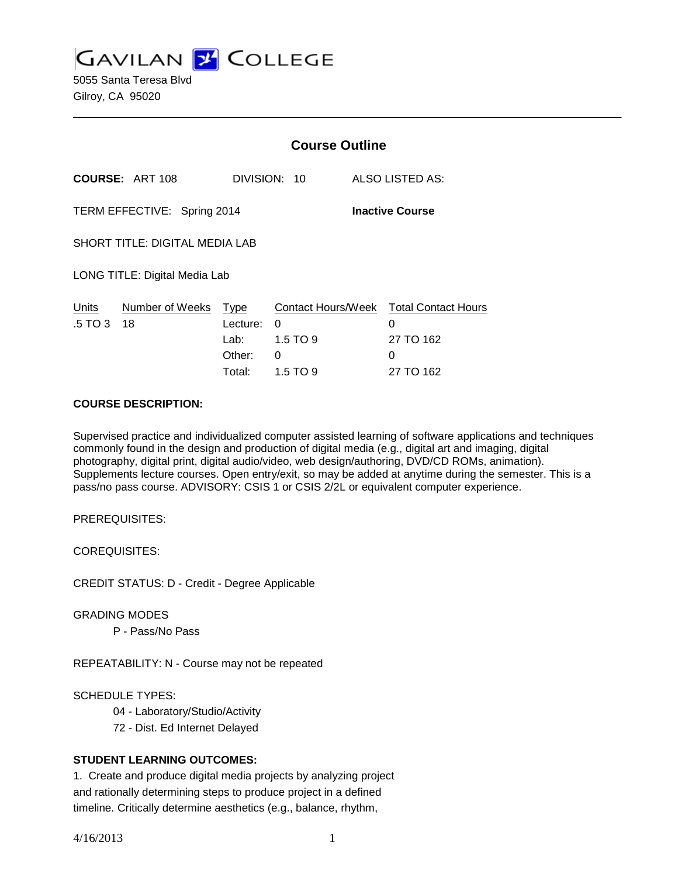**GAVILAN J' COLLEGE** 

5055 Santa Teresa Blvd Gilroy, CA 95020

|                                                       |                        | <b>Course Outline</b>   |            |  |                                             |  |
|-------------------------------------------------------|------------------------|-------------------------|------------|--|---------------------------------------------|--|
|                                                       | <b>COURSE: ART 108</b> | DIVISION: 10            |            |  | ALSO LISTED AS:                             |  |
| TERM EFFECTIVE: Spring 2014<br><b>Inactive Course</b> |                        |                         |            |  |                                             |  |
| <b>SHORT TITLE: DIGITAL MEDIA LAB</b>                 |                        |                         |            |  |                                             |  |
| LONG TITLE: Digital Media Lab                         |                        |                         |            |  |                                             |  |
| Units<br>.5 TO 3                                      | Number of Weeks<br>18  | <u>Type</u><br>Lecture: | 0          |  | Contact Hours/Week Total Contact Hours<br>0 |  |
|                                                       |                        | Lab: L                  | $1.5$ TO 9 |  | 27 TO 162                                   |  |
|                                                       |                        | Other:                  | 0          |  | 0                                           |  |
|                                                       |                        | Total:                  | $1.5$ TO 9 |  | 27 TO 162                                   |  |

#### **COURSE DESCRIPTION:**

Supervised practice and individualized computer assisted learning of software applications and techniques commonly found in the design and production of digital media (e.g., digital art and imaging, digital photography, digital print, digital audio/video, web design/authoring, DVD/CD ROMs, animation). Supplements lecture courses. Open entry/exit, so may be added at anytime during the semester. This is a pass/no pass course. ADVISORY: CSIS 1 or CSIS 2/2L or equivalent computer experience.

PREREQUISITES:

COREQUISITES:

CREDIT STATUS: D - Credit - Degree Applicable

GRADING MODES

P - Pass/No Pass

REPEATABILITY: N - Course may not be repeated

SCHEDULE TYPES:

04 - Laboratory/Studio/Activity

72 - Dist. Ed Internet Delayed

## **STUDENT LEARNING OUTCOMES:**

1. Create and produce digital media projects by analyzing project and rationally determining steps to produce project in a defined timeline. Critically determine aesthetics (e.g., balance, rhythm,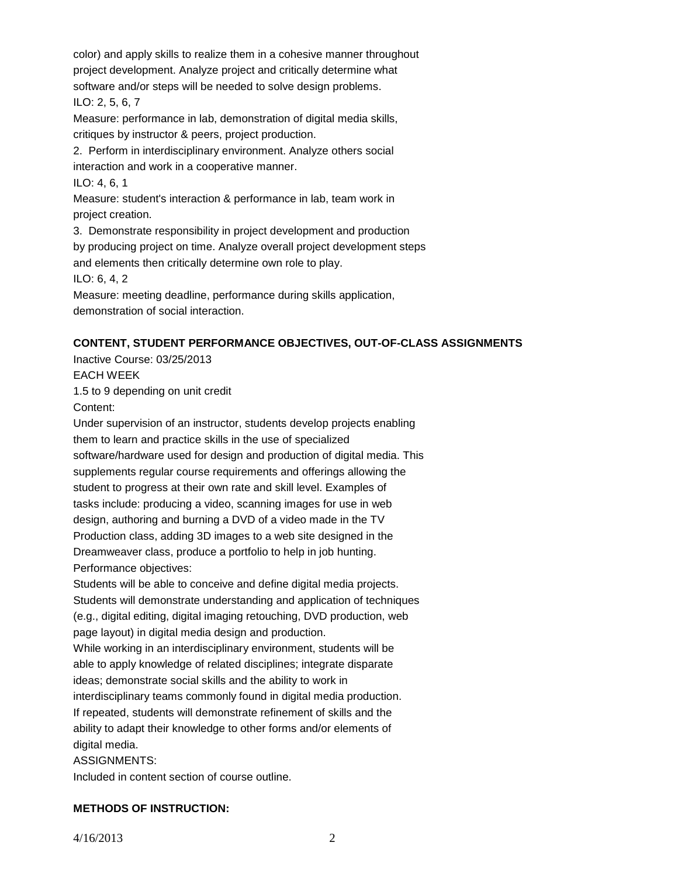color) and apply skills to realize them in a cohesive manner throughout project development. Analyze project and critically determine what software and/or steps will be needed to solve design problems. ILO: 2, 5, 6, 7

Measure: performance in lab, demonstration of digital media skills, critiques by instructor & peers, project production.

2. Perform in interdisciplinary environment. Analyze others social interaction and work in a cooperative manner.

ILO: 4, 6, 1

Measure: student's interaction & performance in lab, team work in project creation.

3. Demonstrate responsibility in project development and production by producing project on time. Analyze overall project development steps and elements then critically determine own role to play.

ILO: 6, 4, 2

Measure: meeting deadline, performance during skills application, demonstration of social interaction.

# **CONTENT, STUDENT PERFORMANCE OBJECTIVES, OUT-OF-CLASS ASSIGNMENTS**

Inactive Course: 03/25/2013 EACH WEEK 1.5 to 9 depending on unit credit

Content:

Under supervision of an instructor, students develop projects enabling them to learn and practice skills in the use of specialized software/hardware used for design and production of digital media. This supplements regular course requirements and offerings allowing the student to progress at their own rate and skill level. Examples of tasks include: producing a video, scanning images for use in web design, authoring and burning a DVD of a video made in the TV Production class, adding 3D images to a web site designed in the Dreamweaver class, produce a portfolio to help in job hunting. Performance objectives:

Students will be able to conceive and define digital media projects. Students will demonstrate understanding and application of techniques (e.g., digital editing, digital imaging retouching, DVD production, web page layout) in digital media design and production.

While working in an interdisciplinary environment, students will be able to apply knowledge of related disciplines; integrate disparate ideas; demonstrate social skills and the ability to work in interdisciplinary teams commonly found in digital media production.

If repeated, students will demonstrate refinement of skills and the ability to adapt their knowledge to other forms and/or elements of digital media.

ASSIGNMENTS:

Included in content section of course outline.

# **METHODS OF INSTRUCTION:**

4/16/2013 2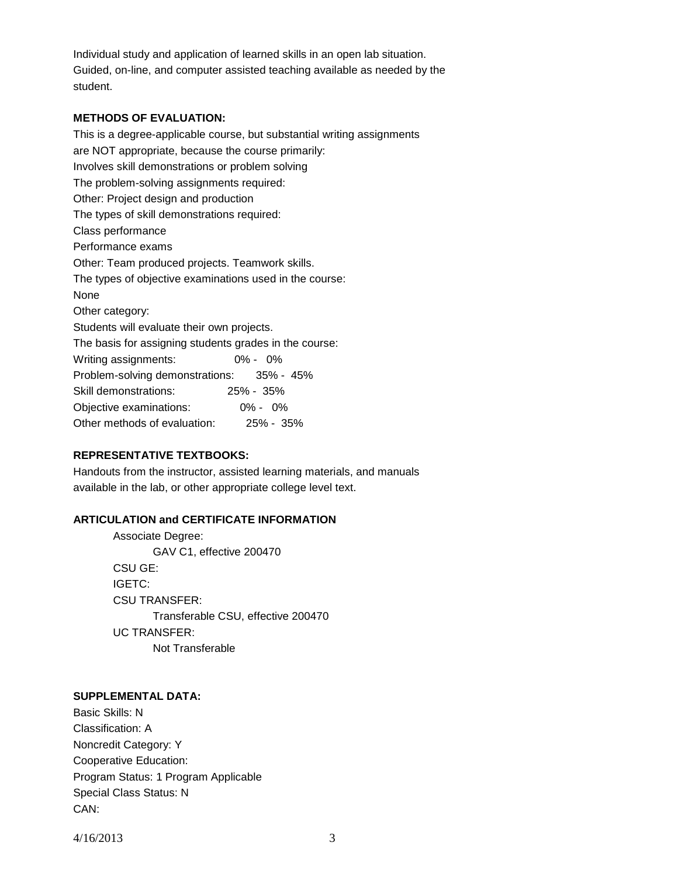Individual study and application of learned skills in an open lab situation. Guided, on-line, and computer assisted teaching available as needed by the student.

### **METHODS OF EVALUATION:**

This is a degree-applicable course, but substantial writing assignments are NOT appropriate, because the course primarily: Involves skill demonstrations or problem solving The problem-solving assignments required: Other: Project design and production The types of skill demonstrations required: Class performance Performance exams Other: Team produced projects. Teamwork skills. The types of objective examinations used in the course: None Other category: Students will evaluate their own projects. The basis for assigning students grades in the course: Writing assignments: 0% - 0% Problem-solving demonstrations: 35% - 45% Skill demonstrations: 25% - 35% Objective examinations: 0% - 0% Other methods of evaluation: 25% - 35%

## **REPRESENTATIVE TEXTBOOKS:**

Handouts from the instructor, assisted learning materials, and manuals available in the lab, or other appropriate college level text.

### **ARTICULATION and CERTIFICATE INFORMATION**

Associate Degree: GAV C1, effective 200470 CSU GE: IGETC: CSU TRANSFER: Transferable CSU, effective 200470 UC TRANSFER: Not Transferable

#### **SUPPLEMENTAL DATA:**

Basic Skills: N Classification: A Noncredit Category: Y Cooperative Education: Program Status: 1 Program Applicable Special Class Status: N CAN:

4/16/2013 3